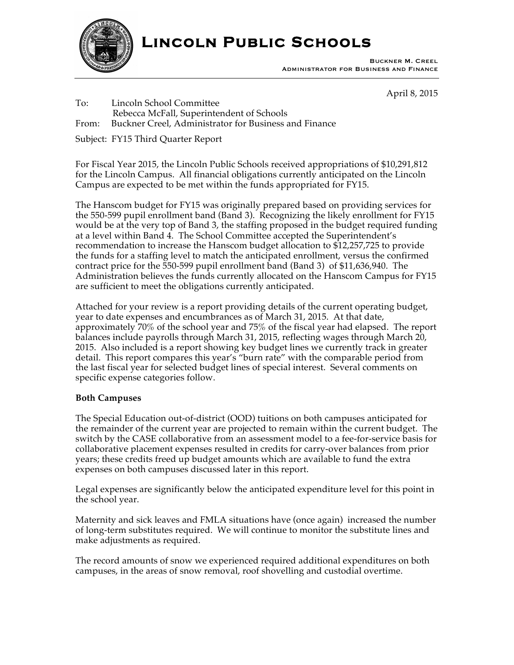

**Lincoln Public Schools** 

Buckner M. Creel Administrator for Business and Finance

April 8, 2015

To: Lincoln School Committee Rebecca McFall, Superintendent of Schools From: Buckner Creel, Administrator for Business and Finance

Subject: FY15 Third Quarter Report

For Fiscal Year 2015, the Lincoln Public Schools received appropriations of \$10,291,812 for the Lincoln Campus. All financial obligations currently anticipated on the Lincoln Campus are expected to be met within the funds appropriated for FY15.

The Hanscom budget for FY15 was originally prepared based on providing services for the 550-599 pupil enrollment band (Band 3). Recognizing the likely enrollment for FY15 would be at the very top of Band 3, the staffing proposed in the budget required funding at a level within Band 4. The School Committee accepted the Superintendent's recommendation to increase the Hanscom budget allocation to \$12,257,725 to provide the funds for a staffing level to match the anticipated enrollment, versus the confirmed contract price for the 550-599 pupil enrollment band (Band 3) of \$11,636,940. The Administration believes the funds currently allocated on the Hanscom Campus for FY15 are sufficient to meet the obligations currently anticipated.

Attached for your review is a report providing details of the current operating budget, year to date expenses and encumbrances as of March 31, 2015. At that date, approximately 70% of the school year and 75% of the fiscal year had elapsed. The report balances include payrolls through March 31, 2015, reflecting wages through March 20, 2015. Also included is a report showing key budget lines we currently track in greater detail. This report compares this year's "burn rate" with the comparable period from the last fiscal year for selected budget lines of special interest. Several comments on specific expense categories follow.

# **Both Campuses**

The Special Education out-of-district (OOD) tuitions on both campuses anticipated for the remainder of the current year are projected to remain within the current budget. The switch by the CASE collaborative from an assessment model to a fee-for-service basis for collaborative placement expenses resulted in credits for carry-over balances from prior years; these credits freed up budget amounts which are available to fund the extra expenses on both campuses discussed later in this report.

Legal expenses are significantly below the anticipated expenditure level for this point in the school year.

Maternity and sick leaves and FMLA situations have (once again) increased the number of long-term substitutes required. We will continue to monitor the substitute lines and make adjustments as required.

The record amounts of snow we experienced required additional expenditures on both campuses, in the areas of snow removal, roof shovelling and custodial overtime.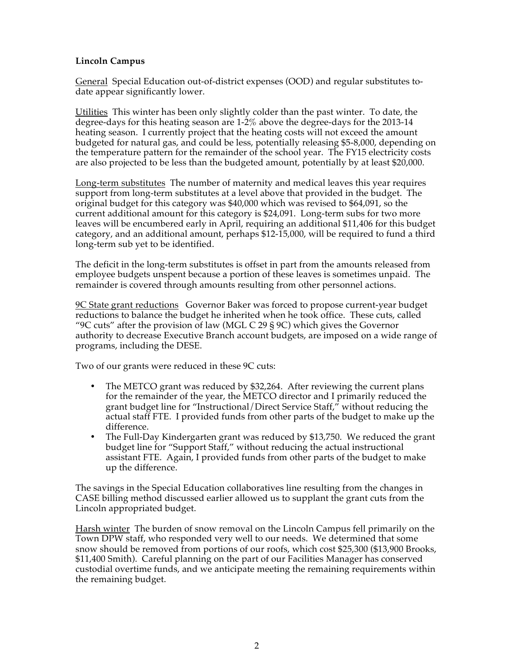## **Lincoln Campus**

General Special Education out-of-district expenses (OOD) and regular substitutes todate appear significantly lower.

UtilitiesThis winter has been only slightly colder than the past winter. To date, the degree-days for this heating season are 1-2% above the degree-days for the 2013-14 heating season. I currently project that the heating costs will not exceed the amount budgeted for natural gas, and could be less, potentially releasing \$5-8,000, depending on the temperature pattern for the remainder of the school year. The FY15 electricity costs are also projected to be less than the budgeted amount, potentially by at least \$20,000.

Long-term substitutes The number of maternity and medical leaves this year requires support from long-term substitutes at a level above that provided in the budget. The original budget for this category was \$40,000 which was revised to \$64,091, so the current additional amount for this category is \$24,091. Long-term subs for two more leaves will be encumbered early in April, requiring an additional \$11,406 for this budget category, and an additional amount, perhaps \$12-15,000, will be required to fund a third long-term sub yet to be identified.

The deficit in the long-term substitutes is offset in part from the amounts released from employee budgets unspent because a portion of these leaves is sometimes unpaid. The remainder is covered through amounts resulting from other personnel actions.

9C State grant reductions Governor Baker was forced to propose current-year budget reductions to balance the budget he inherited when he took office. These cuts, called "9C cuts" after the provision of law (MGL C 29 § 9C) which gives the Governor authority to decrease Executive Branch account budgets, are imposed on a wide range of programs, including the DESE.

Two of our grants were reduced in these 9C cuts:

- The METCO grant was reduced by \$32,264. After reviewing the current plans for the remainder of the year, the METCO director and I primarily reduced the grant budget line for "Instructional/Direct Service Staff," without reducing the actual staff FTE. I provided funds from other parts of the budget to make up the difference.
- The Full-Day Kindergarten grant was reduced by \$13,750. We reduced the grant budget line for "Support Staff," without reducing the actual instructional assistant FTE. Again, I provided funds from other parts of the budget to make up the difference.

The savings in the Special Education collaboratives line resulting from the changes in CASE billing method discussed earlier allowed us to supplant the grant cuts from the Lincoln appropriated budget.

Harsh winter The burden of snow removal on the Lincoln Campus fell primarily on the Town DPW staff, who responded very well to our needs. We determined that some snow should be removed from portions of our roofs, which cost \$25,300 (\$13,900 Brooks, \$11,400 Smith). Careful planning on the part of our Facilities Manager has conserved custodial overtime funds, and we anticipate meeting the remaining requirements within the remaining budget.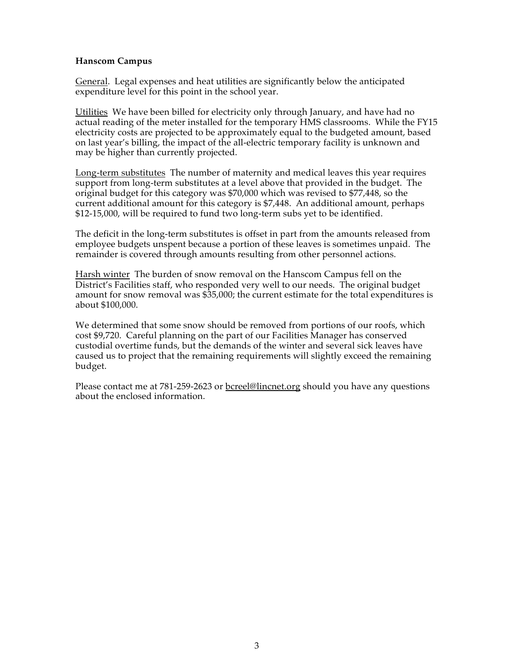### **Hanscom Campus**

General. Legal expenses and heat utilities are significantly below the anticipated expenditure level for this point in the school year.

UtilitiesWe have been billed for electricity only through January, and have had no actual reading of the meter installed for the temporary HMS classrooms. While the FY15 electricity costs are projected to be approximately equal to the budgeted amount, based on last year's billing, the impact of the all-electric temporary facility is unknown and may be higher than currently projected.

Long-term substitutes The number of maternity and medical leaves this year requires support from long-term substitutes at a level above that provided in the budget. The original budget for this category was \$70,000 which was revised to \$77,448, so the current additional amount for this category is \$7,448. An additional amount, perhaps \$12-15,000, will be required to fund two long-term subs yet to be identified.

The deficit in the long-term substitutes is offset in part from the amounts released from employee budgets unspent because a portion of these leaves is sometimes unpaid. The remainder is covered through amounts resulting from other personnel actions.

Harsh winter The burden of snow removal on the Hanscom Campus fell on the District's Facilities staff, who responded very well to our needs. The original budget amount for snow removal was \$35,000; the current estimate for the total expenditures is about \$100,000.

We determined that some snow should be removed from portions of our roofs, which cost \$9,720. Careful planning on the part of our Facilities Manager has conserved custodial overtime funds, but the demands of the winter and several sick leaves have caused us to project that the remaining requirements will slightly exceed the remaining budget.

Please contact me at 781-259-2623 or bcreel@lincnet.org should you have any questions about the enclosed information.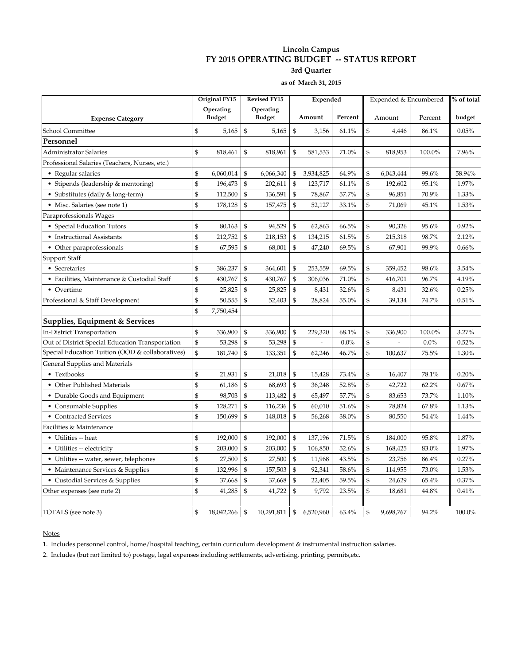#### **Lincoln Campus FY 2015 OPERATING BUDGET -- STATUS REPORT 3rd Quarter**

**as of March 31, 2015**

|                                                  | Original FY15 |                            | <b>Revised FY15</b> | Expended                   |                |                          | Expended & Encumbered |                |                          | % of total |        |
|--------------------------------------------------|---------------|----------------------------|---------------------|----------------------------|----------------|--------------------------|-----------------------|----------------|--------------------------|------------|--------|
| <b>Expense Category</b>                          |               | Operating<br><b>Budget</b> |                     | Operating<br><b>Budget</b> |                | Amount                   | Percent               |                | Amount                   | Percent    | budget |
| School Committee                                 | \$            | 5,165                      | $\mathbb{S}$        | 5,165                      | \$             | 3,156                    | 61.1%                 | \$             | 4,446                    | 86.1%      | 0.05%  |
| Personnel                                        |               |                            |                     |                            |                |                          |                       |                |                          |            |        |
| Administrator Salaries                           | \$            | 818,461                    | \$                  | 818,961                    | \$             | 581,533                  | 71.0%                 | \$             | 818,953                  | 100.0%     | 7.96%  |
| Professional Salaries (Teachers, Nurses, etc.)   |               |                            |                     |                            |                |                          |                       |                |                          |            |        |
| • Regular salaries                               | \$            | 6,060,014                  | \$                  | 6,066,340                  | \$             | 3,934,825                | 64.9%                 | \$             | 6,043,444                | 99.6%      | 58.94% |
| • Stipends (leadership & mentoring)              | \$            | 196,473                    | $\mathcal{S}$       | 202,611                    | \$             | 123,717                  | 61.1%                 | \$             | 192,602                  | 95.1%      | 1.97%  |
| • Substitutes (daily & long-term)                | \$            | 112,500                    | \$                  | 136,591                    | $\mathfrak{S}$ | 78,867                   | 57.7%                 | \$             | 96,851                   | 70.9%      | 1.33%  |
| • Misc. Salaries (see note 1)                    | \$            | 178,128                    | \$                  | 157,475                    | \$             | 52,127                   | 33.1%                 | \$             | 71,069                   | 45.1%      | 1.53%  |
| Paraprofessionals Wages                          |               |                            |                     |                            |                |                          |                       |                |                          |            |        |
| • Special Education Tutors                       | \$            | 80,163                     | \$                  | 94,529                     | \$             | 62,863                   | 66.5%                 | \$             | 90,326                   | 95.6%      | 0.92%  |
| • Instructional Assistants                       | $\mathbb{S}$  | 212,752                    | $\mathfrak{S}$      | 218,153                    | \$             | 134,215                  | 61.5%                 | \$             | 215,318                  | 98.7%      | 2.12%  |
| • Other paraprofessionals                        | \$            | 67,595                     | \$                  | 68,001                     | \$             | 47,240                   | 69.5%                 | \$             | 67,901                   | 99.9%      | 0.66%  |
| Support Staff                                    |               |                            |                     |                            |                |                          |                       |                |                          |            |        |
| • Secretaries                                    | \$            | 386,237                    | \$                  | 364,601                    | \$             | 253,559                  | 69.5%                 | \$             | 359,452                  | 98.6%      | 3.54%  |
| • Facilities, Maintenance & Custodial Staff      | \$            | 430,767                    | $\mathfrak{S}$      | 430,767                    | \$             | 306,036                  | 71.0%                 | \$             | 416,701                  | 96.7%      | 4.19%  |
| • Overtime                                       | \$            | 25,825                     | \$                  | 25,825                     | \$             | 8,431                    | 32.6%                 | \$             | 8,431                    | 32.6%      | 0.25%  |
| Professional & Staff Development                 | \$            | 50,555                     | $\mathbb{S}$        | 52,403                     | \$             | 28,824                   | 55.0%                 | $\mathfrak{S}$ | 39,134                   | 74.7%      | 0.51%  |
|                                                  | $\mathbb{S}$  | 7,750,454                  |                     |                            |                |                          |                       |                |                          |            |        |
| Supplies, Equipment & Services                   |               |                            |                     |                            |                |                          |                       |                |                          |            |        |
| In-District Transportation                       | \$            | 336,900                    | $\mathcal{S}$       | 336,900                    | \$             | 229,320                  | 68.1%                 | \$             | 336,900                  | 100.0%     | 3.27%  |
| Out of District Special Education Transportation | \$            | 53,298                     | \$                  | 53,298                     | \$             | $\overline{\phantom{a}}$ | $0.0\%$               | \$             | $\overline{\phantom{a}}$ | $0.0\%$    | 0.52%  |
| Special Education Tuition (OOD & collaboratives) | \$            | 181,740                    | \$                  | 133,351                    | \$             | 62,246                   | 46.7%                 | \$             | 100,637                  | 75.5%      | 1.30%  |
| General Supplies and Materials                   |               |                            |                     |                            |                |                          |                       |                |                          |            |        |
| • Textbooks                                      | \$            | 21,931                     | $\mathfrak{s}$      | 21,018                     | $\mathfrak{S}$ | 15,428                   | 73.4%                 | \$             | 16,407                   | 78.1%      | 0.20%  |
| • Other Published Materials                      | \$            | 61,186                     | \$                  | 68,693                     | $\mathfrak{S}$ | 36,248                   | 52.8%                 | $\mathbb{S}$   | 42,722                   | 62.2%      | 0.67%  |
| • Durable Goods and Equipment                    | \$            | 98,703                     | \$                  | 113,482                    | \$             | 65,497                   | 57.7%                 | \$             | 83,653                   | 73.7%      | 1.10%  |
| • Consumable Supplies                            | \$            | 128,271                    | \$                  | 116,236                    | \$             | 60,010                   | 51.6%                 | \$             | 78,824                   | 67.8%      | 1.13%  |
| • Contracted Services                            | \$            | 150,699                    | \$                  | 148,018                    | \$             | 56,268                   | 38.0%                 | \$             | 80,550                   | 54.4%      | 1.44%  |
| Facilities & Maintenance                         |               |                            |                     |                            |                |                          |                       |                |                          |            |        |
| • Utilities -- heat                              | \$            | 192,000                    | \$                  | 192,000                    | \$             | 137,196                  | 71.5%                 | \$             | 184,000                  | 95.8%      | 1.87%  |
| • Utilities -- electricity                       | \$            | 203,000                    | $\mathcal{S}$       | 203,000                    | $\mathfrak{S}$ | 106,850                  | 52.6%                 | \$             | 168,425                  | 83.0%      | 1.97%  |
| • Utilities -- water, sewer, telephones          | \$            | 27,500                     | \$                  | 27,500                     | $\mathfrak{S}$ | 11,968                   | 43.5%                 | \$             | 23,756                   | 86.4%      | 0.27%  |
| • Maintenance Services & Supplies                | \$            | 132,996                    | $\mathfrak{S}$      | 157,503                    | \$             | 92,341                   | 58.6%                 | \$             | 114,955                  | 73.0%      | 1.53%  |
| • Custodial Services & Supplies                  | \$            | 37,668                     | \$                  | 37,668                     | \$             | 22,405                   | 59.5%                 | \$             | 24,629                   | 65.4%      | 0.37%  |
| Other expenses (see note 2)                      | \$            | 41,285                     | \$                  | 41,722                     | \$             | 9,792                    | 23.5%                 | \$             | 18,681                   | 44.8%      | 0.41%  |
| TOTALS (see note 3)                              | \$            | 18,042,266                 | \$                  | 10,291,811                 | $\mathfrak{S}$ | 6,520,960                | 63.4%                 | \$             | 9,698,767                | 94.2%      | 100.0% |

Notes

1. Includes personnel control, home/hospital teaching, certain curriculum development & instrumental instruction salaries.

2. Includes (but not limited to) postage, legal expenses including settlements, advertising, printing, permits,etc.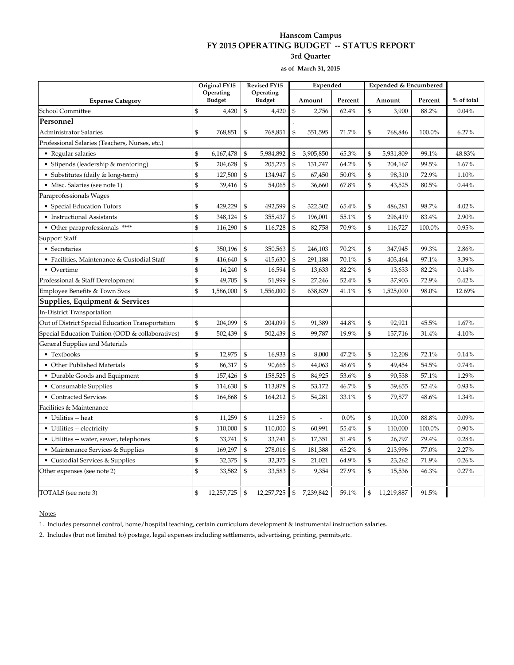#### **Hanscom Campus FY 2015 OPERATING BUDGET -- STATUS REPORT 3rd Quarter**

**as of March 31, 2015**

|                                                  | Original FY15<br><b>Revised FY15</b>            |                            |                | Expended                   |                |           | Expended & Encumbered |                |            |         |            |
|--------------------------------------------------|-------------------------------------------------|----------------------------|----------------|----------------------------|----------------|-----------|-----------------------|----------------|------------|---------|------------|
| <b>Expense Category</b>                          |                                                 | Operating<br><b>Budget</b> |                | Operating<br><b>Budget</b> | Amount         |           | Percent               |                | Amount     | Percent | % of total |
| School Committee                                 | $\mathfrak{S}$                                  | 4,420                      | $\mathcal{S}$  | 4,420                      | \$             | 2,756     | 62.4%                 | $\mathfrak{s}$ | 3,900      | 88.2%   | 0.04%      |
| Personnel                                        |                                                 |                            |                |                            |                |           |                       |                |            |         |            |
| <b>Administrator Salaries</b>                    | \$                                              | 768,851                    | \$             | 768,851                    | $\mathfrak s$  | 551,595   | 71.7%                 | \$             | 768,846    | 100.0%  | 6.27%      |
| Professional Salaries (Teachers, Nurses, etc.)   |                                                 |                            |                |                            |                |           |                       |                |            |         |            |
| • Regular salaries                               | \$                                              | 6,167,478                  | \$             | 5,984,892                  | $\mathfrak{s}$ | 3,905,850 | 65.3%                 | $\mathfrak{S}$ | 5,931,809  | 99.1%   | 48.83%     |
| • Stipends (leadership & mentoring)              | $\mathfrak{S}$                                  | 204,628                    | \$             | 205,275                    | $\mathfrak{s}$ | 131,747   | 64.2%                 | $\mathfrak{s}$ | 204,167    | 99.5%   | 1.67%      |
| • Substitutes (daily & long-term)                | \$                                              | 127,500                    | \$             | 134,947                    | \$             | 67,450    | 50.0%                 | \$             | 98,310     | 72.9%   | 1.10%      |
| • Misc. Salaries (see note 1)                    | \$                                              | 39,416                     | \$             | 54,065                     | \$             | 36,660    | 67.8%                 | $\mathsf{\$}$  | 43,525     | 80.5%   | 0.44%      |
| Paraprofessionals Wages                          |                                                 |                            |                |                            |                |           |                       |                |            |         |            |
| • Special Education Tutors                       | \$                                              | 429,229                    | $\mathcal{S}$  | 492,599                    | \$             | 322,302   | 65.4%                 | \$             | 486,281    | 98.7%   | 4.02%      |
| • Instructional Assistants                       | $\mathfrak{S}$                                  | 348,124                    | \$             | 355,437                    | \$             | 196,001   | 55.1%                 | \$             | 296,419    | 83.4%   | 2.90%      |
| • Other paraprofessionals ****                   | \$                                              | 116,290                    | \$             | 116,728                    | \$             | 82,758    | 70.9%                 | \$             | 116,727    | 100.0%  | 0.95%      |
| Support Staff                                    |                                                 |                            |                |                            |                |           |                       |                |            |         |            |
| • Secretaries                                    | \$                                              | 350,196                    | \$             | 350,563                    | \$             | 246,103   | 70.2%                 | $\mathfrak{s}$ | 347,945    | 99.3%   | 2.86%      |
| • Facilities, Maintenance & Custodial Staff      | $\mathfrak{S}$                                  | 416,640                    | \$             | 415,630                    | $\mathfrak{s}$ | 291,188   | 70.1%                 | \$             | 403,464    | 97.1%   | 3.39%      |
| • Overtime                                       | \$                                              | 16,240                     | $\mathcal{S}$  | 16,594                     | $\$\,$         | 13,633    | 82.2%                 | $\mathfrak{s}$ | 13,633     | 82.2%   | 0.14%      |
| Professional & Staff Development                 | \$                                              | 49,705                     | \$             | 51,999                     | \$             | 27,246    | 52.4%                 | $\mathcal{S}$  | 37,903     | 72.9%   | 0.42%      |
| Employee Benefits & Town Svcs                    | \$                                              | 1,586,000                  | \$             | 1,556,000                  | \$             | 638,829   | 41.1%                 | \$             | 1,525,000  | 98.0%   | 12.69%     |
| Supplies, Equipment & Services                   |                                                 |                            |                |                            |                |           |                       |                |            |         |            |
| In-District Transportation                       |                                                 |                            |                |                            |                |           |                       |                |            |         |            |
| Out of District Special Education Transportation | \$                                              | 204,099                    | \$             | 204,099                    | \$             | 91,389    | 44.8%                 | \$             | 92,921     | 45.5%   | 1.67%      |
| Special Education Tuition (OOD & collaboratives) | \$                                              | 502,439                    | \$             | 502,439                    | \$             | 99,787    | 19.9%                 | $\mathfrak{S}$ | 157,716    | 31.4%   | 4.10%      |
| General Supplies and Materials                   |                                                 |                            |                |                            |                |           |                       |                |            |         |            |
| • Textbooks                                      | \$                                              | 12,975                     | $\mathfrak{S}$ | 16,933                     | $\mathfrak s$  | 8,000     | 47.2%                 | \$             | 12,208     | 72.1%   | 0.14%      |
| • Other Published Materials                      | \$                                              | 86,317                     | $\mathfrak{s}$ | 90,665                     | $\mathbb{S}$   | 44,063    | 48.6%                 | $\mathfrak{s}$ | 49,454     | 54.5%   | 0.74%      |
| • Durable Goods and Equipment                    | \$                                              | 157,426                    | \$             | 158,525                    | \$             | 84,925    | 53.6%                 | \$             | 90,538     | 57.1%   | 1.29%      |
| • Consumable Supplies                            | $\, \, \raisebox{10pt}{\text{\circle*{1.5}}}\,$ | 114,630                    | \$             | 113,878                    | $\mathfrak s$  | 53,172    | 46.7%                 | \$             | 59,655     | 52.4%   | 0.93%      |
| • Contracted Services                            | \$                                              | 164,868                    | \$             | 164,212                    | \$             | 54,281    | 33.1%                 | \$             | 79,877     | 48.6%   | 1.34%      |
| Facilities & Maintenance                         |                                                 |                            |                |                            |                |           |                       |                |            |         |            |
| • Utilities -- heat                              | \$                                              | 11,259                     | \$             | 11,259                     | \$             |           | $0.0\%$               | \$             | 10,000     | 88.8%   | 0.09%      |
| • Utilities -- electricity                       | $\mathfrak{s}$                                  | 110,000                    | \$             | 110,000                    | \$             | 60,991    | 55.4%                 | $\mathfrak{S}$ | 110,000    | 100.0%  | 0.90%      |
| • Utilities -- water, sewer, telephones          | \$                                              | 33,741                     | \$             | 33,741                     | $\mathfrak{s}$ | 17,351    | 51.4%                 | \$             | 26,797     | 79.4%   | 0.28%      |
| • Maintenance Services & Supplies                | $\, \, \raisebox{10pt}{\text{\circle*{1.5}}}\,$ | 169,297                    | $\mathfrak{s}$ | 278,016                    | $\mathfrak{s}$ | 181,388   | 65.2%                 | $\mathsf{\$}$  | 213,996    | 77.0%   | 2.27%      |
| • Custodial Services & Supplies                  | \$                                              | 32,375                     | $\mathfrak{S}$ | 32,375                     | $\mathbb{S}$   | 21,021    | 64.9%                 | \$             | 23,262     | 71.9%   | 0.26%      |
| Other expenses (see note 2)                      | \$                                              | 33,582                     | \$             | 33,583                     | \$             | 9,354     | 27.9%                 | \$             | 15,536     | 46.3%   | 0.27%      |
| TOTALS (see note 3)                              | \$                                              | 12,257,725                 | $\mathbb{S}$   | 12,257,725 \$              |                | 7,239,842 | 59.1%                 | \$             | 11,219,887 | 91.5%   |            |

**Notes** 

1. Includes personnel control, home/hospital teaching, certain curriculum development & instrumental instruction salaries.

2. Includes (but not limited to) postage, legal expenses including settlements, advertising, printing, permits,etc.